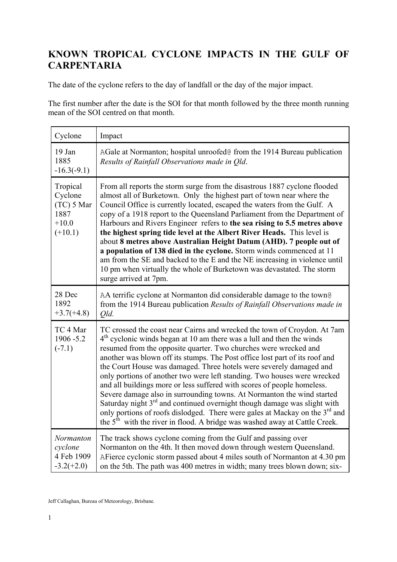## **KNOWN TROPICAL CYCLONE IMPACTS IN THE GULF OF CARPENTARIA**

The date of the cyclone refers to the day of landfall or the day of the major impact.

The first number after the date is the SOI for that month followed by the three month running mean of the SOI centred on that month.

| Cyclone                                                             | Impact                                                                                                                                                                                                                                                                                                                                                                                                                                                                                                                                                                                                                                                                                                                                                                                                                                                                  |
|---------------------------------------------------------------------|-------------------------------------------------------------------------------------------------------------------------------------------------------------------------------------------------------------------------------------------------------------------------------------------------------------------------------------------------------------------------------------------------------------------------------------------------------------------------------------------------------------------------------------------------------------------------------------------------------------------------------------------------------------------------------------------------------------------------------------------------------------------------------------------------------------------------------------------------------------------------|
| 19 Jan<br>1885<br>$-16.3(-9.1)$                                     | AGale at Normanton; hospital unroofed@ from the 1914 Bureau publication<br>Results of Rainfall Observations made in Old.                                                                                                                                                                                                                                                                                                                                                                                                                                                                                                                                                                                                                                                                                                                                                |
| Tropical<br>Cyclone<br>$(TC)$ 5 Mar<br>1887<br>$+10.0$<br>$(+10.1)$ | From all reports the storm surge from the disastrous 1887 cyclone flooded<br>almost all of Burketown. Only the highest part of town near where the<br>Council Office is currently located, escaped the waters from the Gulf. A<br>copy of a 1918 report to the Queensland Parliament from the Department of<br>Harbours and Rivers Engineer refers to the sea rising to 5.5 metres above<br>the highest spring tide level at the Albert River Heads. This level is<br>about 8 metres above Australian Height Datum (AHD). 7 people out of<br>a population of 138 died in the cyclone. Storm winds commenced at 11<br>am from the SE and backed to the E and the NE increasing in violence until<br>10 pm when virtually the whole of Burketown was devastated. The storm<br>surge arrived at 7pm.                                                                       |
| 28 Dec<br>1892<br>$+3.7(+4.8)$                                      | AA terrific cyclone at Normanton did considerable damage to the town@<br>from the 1914 Bureau publication Results of Rainfall Observations made in<br>Old.                                                                                                                                                                                                                                                                                                                                                                                                                                                                                                                                                                                                                                                                                                              |
| TC 4 Mar<br>1906-5.2<br>$(-7.1)$                                    | TC crossed the coast near Cairns and wrecked the town of Croydon. At 7am<br>$4th$ cyclonic winds began at 10 am there was a lull and then the winds<br>resumed from the opposite quarter. Two churches were wrecked and<br>another was blown off its stumps. The Post office lost part of its roof and<br>the Court House was damaged. Three hotels were severely damaged and<br>only portions of another two were left standing. Two houses were wrecked<br>and all buildings more or less suffered with scores of people homeless.<br>Severe damage also in surrounding towns. At Normanton the wind started<br>Saturday night $3rd$ and continued overnight though damage was slight with<br>only portions of roofs dislodged. There were gales at Mackay on the 3 <sup>rd</sup> and<br>the $5th$ with the river in flood. A bridge was washed away at Cattle Creek. |
| Normanton<br>cyclone<br>4 Feb 1909<br>$-3.2(+2.0)$                  | The track shows cyclone coming from the Gulf and passing over<br>Normanton on the 4th. It then moved down through western Queensland.<br>AFierce cyclonic storm passed about 4 miles south of Normanton at 4.30 pm<br>on the 5th. The path was 400 metres in width; many trees blown down; six-                                                                                                                                                                                                                                                                                                                                                                                                                                                                                                                                                                         |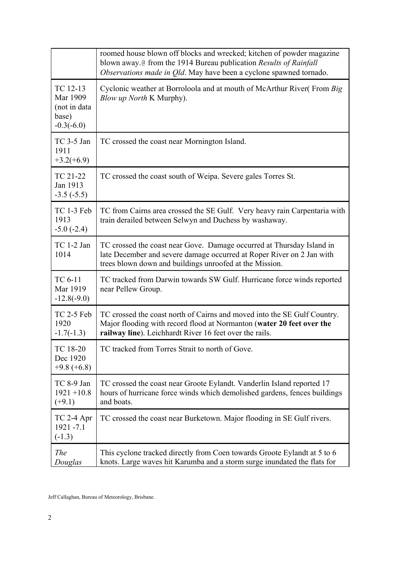|                                                               | roomed house blown off blocks and wrecked; kitchen of powder magazine<br>blown away. <i>C</i> from the 1914 Bureau publication Results of Rainfall<br>Observations made in Old. May have been a cyclone spawned tornado. |
|---------------------------------------------------------------|--------------------------------------------------------------------------------------------------------------------------------------------------------------------------------------------------------------------------|
| TC 12-13<br>Mar 1909<br>(not in data<br>base)<br>$-0.3(-6.0)$ | Cyclonic weather at Borroloola and at mouth of McArthur River(From Big)<br><i>Blow up North</i> K Murphy).                                                                                                               |
| $TC$ 3-5 Jan<br>1911<br>$+3.2(+6.9)$                          | TC crossed the coast near Mornington Island.                                                                                                                                                                             |
| TC 21-22<br>Jan 1913<br>$-3.5(-5.5)$                          | TC crossed the coast south of Weipa. Severe gales Torres St.                                                                                                                                                             |
| TC 1-3 Feb<br>1913<br>$-5.0(-2.4)$                            | TC from Cairns area crossed the SE Gulf. Very heavy rain Carpentaria with<br>train derailed between Selwyn and Duchess by washaway.                                                                                      |
| TC 1-2 Jan<br>1014                                            | TC crossed the coast near Gove. Damage occurred at Thursday Island in<br>late December and severe damage occurred at Roper River on 2 Jan with<br>trees blown down and buildings unroofed at the Mission.                |
| TC 6-11<br>Mar 1919<br>$-12.8(-9.0)$                          | TC tracked from Darwin towards SW Gulf. Hurricane force winds reported<br>near Pellew Group.                                                                                                                             |
| TC 2-5 Feb<br>1920<br>$-1.7(-1.3)$                            | TC crossed the coast north of Cairns and moved into the SE Gulf Country.<br>Major flooding with record flood at Normanton (water 20 feet over the<br>railway line). Leichhardt River 16 feet over the rails.             |
| TC 18-20<br>Dec 1920<br>$+9.8 (+6.8)$                         | TC tracked from Torres Strait to north of Gove.                                                                                                                                                                          |
| TC 8-9 Jan<br>$1921 + 10.8$<br>$(+9.1)$                       | TC crossed the coast near Groote Eylandt. Vanderlin Island reported 17<br>hours of hurricane force winds which demolished gardens, fences buildings<br>and boats.                                                        |
| $TC$ 2-4 Apr<br>1921 - 7.1<br>$(-1.3)$                        | TC crossed the coast near Burketown. Major flooding in SE Gulf rivers.                                                                                                                                                   |
| The<br>Douglas                                                | This cyclone tracked directly from Coen towards Groote Eylandt at 5 to 6<br>knots. Large waves hit Karumba and a storm surge inundated the flats for                                                                     |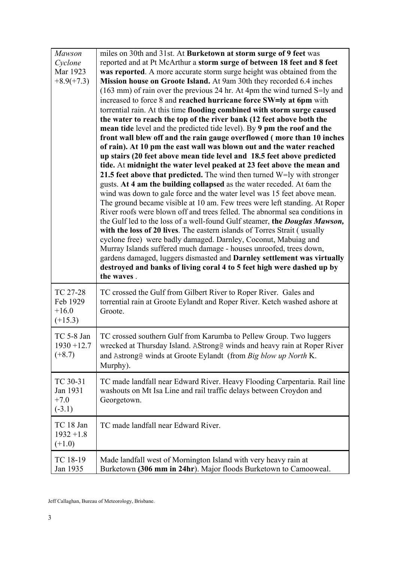| <b>Mawson</b><br>Cyclone<br>Mar 1923<br>$+8.9(+7.3)$ | miles on 30th and 31st. At Burketown at storm surge of 9 feet was<br>reported and at Pt McArthur a storm surge of between 18 feet and 8 feet<br>was reported. A more accurate storm surge height was obtained from the<br>Mission house on Groote Island. At 9am 30th they recorded 6.4 inches<br>$(163 \text{ mm})$ of rain over the previous 24 hr. At 4pm the wind turned S=ly and<br>increased to force 8 and reached hurricane force SW=ly at 6pm with<br>torrential rain. At this time flooding combined with storm surge caused<br>the water to reach the top of the river bank (12 feet above both the<br>mean tide level and the predicted tide level). By 9 pm the roof and the<br>front wall blew off and the rain gauge overflowed (more than 10 inches<br>of rain). At 10 pm the east wall was blown out and the water reached<br>up stairs (20 feet above mean tide level and 18.5 feet above predicted<br>tide. At midnight the water level peaked at 23 feet above the mean and<br>21.5 feet above that predicted. The wind then turned $W=ly$ with stronger<br>gusts. At 4 am the building collapsed as the water receded. At 6am the<br>wind was down to gale force and the water level was 15 feet above mean.<br>The ground became visible at 10 am. Few trees were left standing. At Roper<br>River roofs were blown off and trees felled. The abnormal sea conditions in<br>the Gulf led to the loss of a well-found Gulf steamer, the <i>Douglas Mawson</i> ,<br>with the loss of 20 lives. The eastern islands of Torres Strait (usually<br>cyclone free) were badly damaged. Darnley, Coconut, Mabuiag and<br>Murray Islands suffered much damage - houses unroofed, trees down,<br>gardens damaged, luggers dismasted and Darnley settlement was virtually<br>destroyed and banks of living coral 4 to 5 feet high were dashed up by<br>the waves. |
|------------------------------------------------------|------------------------------------------------------------------------------------------------------------------------------------------------------------------------------------------------------------------------------------------------------------------------------------------------------------------------------------------------------------------------------------------------------------------------------------------------------------------------------------------------------------------------------------------------------------------------------------------------------------------------------------------------------------------------------------------------------------------------------------------------------------------------------------------------------------------------------------------------------------------------------------------------------------------------------------------------------------------------------------------------------------------------------------------------------------------------------------------------------------------------------------------------------------------------------------------------------------------------------------------------------------------------------------------------------------------------------------------------------------------------------------------------------------------------------------------------------------------------------------------------------------------------------------------------------------------------------------------------------------------------------------------------------------------------------------------------------------------------------------------------------------------------------------------------------------------------------------------------------------------------------|
| TC 27-28<br>Feb 1929<br>$+16.0$<br>$(+15.3)$         | TC crossed the Gulf from Gilbert River to Roper River. Gales and<br>torrential rain at Groote Eylandt and Roper River. Ketch washed ashore at<br>Groote.                                                                                                                                                                                                                                                                                                                                                                                                                                                                                                                                                                                                                                                                                                                                                                                                                                                                                                                                                                                                                                                                                                                                                                                                                                                                                                                                                                                                                                                                                                                                                                                                                                                                                                                     |
| TC 5-8 Jan<br>$1930 + 12.7$<br>$(+8.7)$              | TC crossed southern Gulf from Karumba to Pellew Group. Two luggers<br>wrecked at Thursday Island. AStrong@ winds and heavy rain at Roper River<br>and Astrong@ winds at Groote Eylandt (from Big blow up North K.<br>Murphy).                                                                                                                                                                                                                                                                                                                                                                                                                                                                                                                                                                                                                                                                                                                                                                                                                                                                                                                                                                                                                                                                                                                                                                                                                                                                                                                                                                                                                                                                                                                                                                                                                                                |
| TC 30-31<br>Jan 1931<br>$+7.0$<br>$(-3.1)$           | TC made landfall near Edward River. Heavy Flooding Carpentaria. Rail line<br>washouts on Mt Isa Line and rail traffic delays between Croydon and<br>Georgetown.                                                                                                                                                                                                                                                                                                                                                                                                                                                                                                                                                                                                                                                                                                                                                                                                                                                                                                                                                                                                                                                                                                                                                                                                                                                                                                                                                                                                                                                                                                                                                                                                                                                                                                              |
| TC 18 Jan<br>$1932 + 1.8$<br>$(+1.0)$                | TC made landfall near Edward River.                                                                                                                                                                                                                                                                                                                                                                                                                                                                                                                                                                                                                                                                                                                                                                                                                                                                                                                                                                                                                                                                                                                                                                                                                                                                                                                                                                                                                                                                                                                                                                                                                                                                                                                                                                                                                                          |
| TC 18-19<br>Jan 1935                                 | Made landfall west of Mornington Island with very heavy rain at<br>Burketown (306 mm in 24hr). Major floods Burketown to Camooweal.                                                                                                                                                                                                                                                                                                                                                                                                                                                                                                                                                                                                                                                                                                                                                                                                                                                                                                                                                                                                                                                                                                                                                                                                                                                                                                                                                                                                                                                                                                                                                                                                                                                                                                                                          |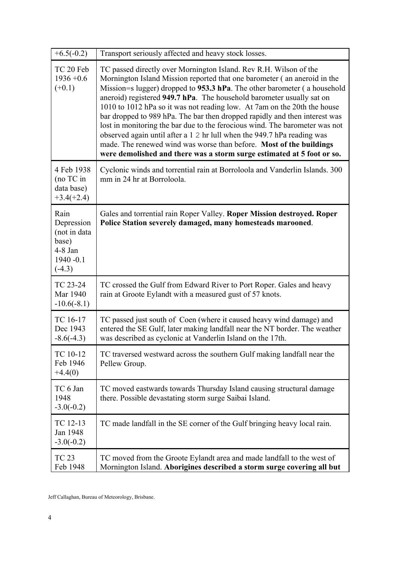| $+6.5(-0.2)$                                                                         | Transport seriously affected and heavy stock losses.                                                                                                                                                                                                                                                                                                                                                                                                                                                                                                                                                                                                                                                                                                                    |
|--------------------------------------------------------------------------------------|-------------------------------------------------------------------------------------------------------------------------------------------------------------------------------------------------------------------------------------------------------------------------------------------------------------------------------------------------------------------------------------------------------------------------------------------------------------------------------------------------------------------------------------------------------------------------------------------------------------------------------------------------------------------------------------------------------------------------------------------------------------------------|
| TC 20 Feb<br>$1936 + 0.6$<br>$(+0.1)$                                                | TC passed directly over Mornington Island. Rev R.H. Wilson of the<br>Mornington Island Mission reported that one barometer (an aneroid in the<br>Mission=s lugger) dropped to 953.3 hPa. The other barometer (a household<br>aneroid) registered 949.7 hPa. The household barometer usually sat on<br>1010 to 1012 hPa so it was not reading low. At 7am on the 20th the house<br>bar dropped to 989 hPa. The bar then dropped rapidly and then interest was<br>lost in monitoring the bar due to the ferocious wind. The barometer was not<br>observed again until after a 1 2 hr lull when the 949.7 hPa reading was<br>made. The renewed wind was worse than before. Most of the buildings<br>were demolished and there was a storm surge estimated at 5 foot or so. |
| 4 Feb 1938<br>(no TC in<br>data base)<br>$+3.4(+2.4)$                                | Cyclonic winds and torrential rain at Borroloola and Vanderlin Islands. 300<br>mm in 24 hr at Borroloola.                                                                                                                                                                                                                                                                                                                                                                                                                                                                                                                                                                                                                                                               |
| Rain<br>Depression<br>(not in data<br>base)<br>$4-8$ Jan<br>$1940 - 0.1$<br>$(-4.3)$ | Gales and torrential rain Roper Valley. Roper Mission destroyed. Roper<br>Police Station severely damaged, many homesteads marooned.                                                                                                                                                                                                                                                                                                                                                                                                                                                                                                                                                                                                                                    |
| TC 23-24<br>Mar 1940<br>$-10.6(-8.1)$                                                | TC crossed the Gulf from Edward River to Port Roper. Gales and heavy<br>rain at Groote Eylandt with a measured gust of 57 knots.                                                                                                                                                                                                                                                                                                                                                                                                                                                                                                                                                                                                                                        |
| TC 16-17<br>Dec 1943<br>$-8.6(-4.3)$                                                 | TC passed just south of Coen (where it caused heavy wind damage) and<br>entered the SE Gulf, later making landfall near the NT border. The weather<br>was described as cyclonic at Vanderlin Island on the 17th.                                                                                                                                                                                                                                                                                                                                                                                                                                                                                                                                                        |
| TC 10-12<br>Feb 1946<br>$+4.4(0)$                                                    | TC traversed westward across the southern Gulf making landfall near the<br>Pellew Group.                                                                                                                                                                                                                                                                                                                                                                                                                                                                                                                                                                                                                                                                                |
| TC 6 Jan<br>1948<br>$-3.0(-0.2)$                                                     | TC moved eastwards towards Thursday Island causing structural damage<br>there. Possible devastating storm surge Saibai Island.                                                                                                                                                                                                                                                                                                                                                                                                                                                                                                                                                                                                                                          |
| TC 12-13<br>Jan 1948<br>$-3.0(-0.2)$                                                 | TC made landfall in the SE corner of the Gulf bringing heavy local rain.                                                                                                                                                                                                                                                                                                                                                                                                                                                                                                                                                                                                                                                                                                |
| <b>TC 23</b><br>Feb 1948                                                             | TC moved from the Groote Eylandt area and made landfall to the west of<br>Mornington Island. Aborigines described a storm surge covering all but                                                                                                                                                                                                                                                                                                                                                                                                                                                                                                                                                                                                                        |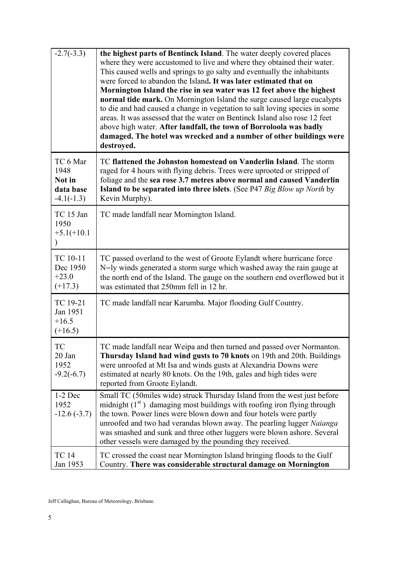| $-2.7(-3.3)$                                            | the highest parts of Bentinck Island. The water deeply covered places<br>where they were accustomed to live and where they obtained their water.<br>This caused wells and springs to go salty and eventually the inhabitants<br>were forced to abandon the Island. It was later estimated that on<br>Mornington Island the rise in sea water was 12 feet above the highest<br>normal tide mark. On Mornington Island the surge caused large eucalypts<br>to die and had caused a change in vegetation to salt loving species in some<br>areas. It was assessed that the water on Bentinck Island also rose 12 feet<br>above high water. After landfall, the town of Borroloola was badly<br>damaged. The hotel was wrecked and a number of other buildings were<br>destroyed. |
|---------------------------------------------------------|-------------------------------------------------------------------------------------------------------------------------------------------------------------------------------------------------------------------------------------------------------------------------------------------------------------------------------------------------------------------------------------------------------------------------------------------------------------------------------------------------------------------------------------------------------------------------------------------------------------------------------------------------------------------------------------------------------------------------------------------------------------------------------|
| TC 6 Mar<br>1948<br>Not in<br>data base<br>$-4.1(-1.3)$ | TC flattened the Johnston homestead on Vanderlin Island. The storm<br>raged for 4 hours with flying debris. Trees were uprooted or stripped of<br>foliage and the sea rose 3.7 metres above normal and caused Vanderlin<br>Island to be separated into three islets. (See P47 Big Blow up North by<br>Kevin Murphy).                                                                                                                                                                                                                                                                                                                                                                                                                                                          |
| TC 15 Jan<br>1950<br>$+5.1(+10.1)$                      | TC made landfall near Mornington Island.                                                                                                                                                                                                                                                                                                                                                                                                                                                                                                                                                                                                                                                                                                                                      |
| TC 10-11<br>Dec 1950<br>$+23.0$<br>$(+17.3)$            | TC passed overland to the west of Groote Eylandt where hurricane force<br>N=ly winds generated a storm surge which washed away the rain gauge at<br>the north end of the Island. The gauge on the southern end overflowed but it<br>was estimated that 250mm fell in 12 hr.                                                                                                                                                                                                                                                                                                                                                                                                                                                                                                   |
| TC 19-21<br>Jan 1951<br>$+16.5$<br>$(+16.5)$            | TC made landfall near Karumba. Major flooding Gulf Country.                                                                                                                                                                                                                                                                                                                                                                                                                                                                                                                                                                                                                                                                                                                   |
| TC<br>20 Jan<br>1952<br>$-9.2(-6.7)$                    | TC made landfall near Weipa and then turned and passed over Normanton.<br>Thursday Island had wind gusts to 70 knots on 19th and 20th. Buildings<br>were unroofed at Mt Isa and winds gusts at Alexandria Downs were<br>estimated at nearly 80 knots. On the 19th, gales and high tides were<br>reported from Groote Eylandt.                                                                                                                                                                                                                                                                                                                                                                                                                                                 |
| $1-2$ Dec<br>1952<br>$-12.6(-3.7)$                      | Small TC (50miles wide) struck Thursday Island from the west just before<br>midnight $(1st)$ damaging most buildings with roofing iron flying through<br>the town. Power lines were blown down and four hotels were partly<br>unroofed and two had verandas blown away. The pearling lugger Naianga<br>was smashed and sunk and three other luggers were blown ashore. Several<br>other vessels were damaged by the pounding they received.                                                                                                                                                                                                                                                                                                                                   |
| <b>TC 14</b><br>Jan 1953                                | TC crossed the coast near Mornington Island bringing floods to the Gulf<br>Country. There was considerable structural damage on Mornington                                                                                                                                                                                                                                                                                                                                                                                                                                                                                                                                                                                                                                    |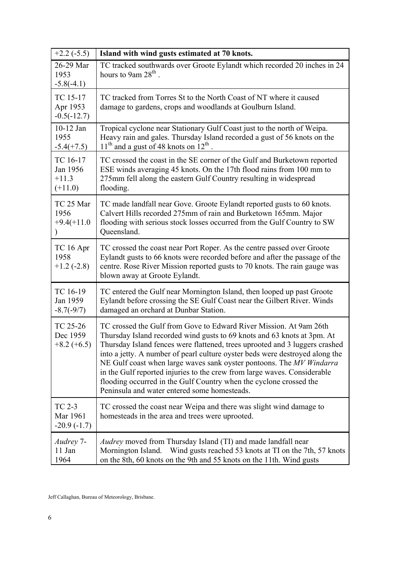| $+2.2$ (-5.5)                                | Island with wind gusts estimated at 70 knots.                                                                                                                                                                                                                                                                                                                                                                                                                                                                                                                                          |
|----------------------------------------------|----------------------------------------------------------------------------------------------------------------------------------------------------------------------------------------------------------------------------------------------------------------------------------------------------------------------------------------------------------------------------------------------------------------------------------------------------------------------------------------------------------------------------------------------------------------------------------------|
| 26-29 Mar<br>1953<br>$-5.8(-4.1)$            | TC tracked southwards over Groote Eylandt which recorded 20 inches in 24<br>hours to 9am 28 <sup>th</sup> .                                                                                                                                                                                                                                                                                                                                                                                                                                                                            |
| TC 15-17<br>Apr 1953<br>$-0.5(-12.7)$        | TC tracked from Torres St to the North Coast of NT where it caused<br>damage to gardens, crops and woodlands at Goulburn Island.                                                                                                                                                                                                                                                                                                                                                                                                                                                       |
| 10-12 Jan<br>1955<br>$-5.4(+7.5)$            | Tropical cyclone near Stationary Gulf Coast just to the north of Weipa.<br>Heavy rain and gales. Thursday Island recorded a gust of 56 knots on the<br>$11th$ and a gust of 48 knots on $12th$                                                                                                                                                                                                                                                                                                                                                                                         |
| TC 16-17<br>Jan 1956<br>$+11.3$<br>$(+11.0)$ | TC crossed the coast in the SE corner of the Gulf and Burketown reported<br>ESE winds averaging 45 knots. On the 17th flood rains from 100 mm to<br>275mm fell along the eastern Gulf Country resulting in widespread<br>flooding.                                                                                                                                                                                                                                                                                                                                                     |
| TC 25 Mar<br>1956<br>$+9.4(+11.0$            | TC made landfall near Gove. Groote Eylandt reported gusts to 60 knots.<br>Calvert Hills recorded 275mm of rain and Burketown 165mm. Major<br>flooding with serious stock losses occurred from the Gulf Country to SW<br>Queensland.                                                                                                                                                                                                                                                                                                                                                    |
| TC 16 Apr<br>1958<br>$+1.2(-2.8)$            | TC crossed the coast near Port Roper. As the centre passed over Groote<br>Eylandt gusts to 66 knots were recorded before and after the passage of the<br>centre. Rose River Mission reported gusts to 70 knots. The rain gauge was<br>blown away at Groote Eylandt.                                                                                                                                                                                                                                                                                                                    |
| TC 16-19<br>Jan 1959<br>$-8.7(-9/7)$         | TC entered the Gulf near Mornington Island, then looped up past Groote<br>Eylandt before crossing the SE Gulf Coast near the Gilbert River. Winds<br>damaged an orchard at Dunbar Station.                                                                                                                                                                                                                                                                                                                                                                                             |
| TC 25-26<br>Dec 1959<br>$+8.2 (+6.5)$        | TC crossed the Gulf from Gove to Edward River Mission. At 9am 26th<br>Thursday Island recorded wind gusts to 69 knots and 63 knots at 3pm. At<br>Thursday Island fences were flattened, trees uprooted and 3 luggers crashed<br>into a jetty. A number of pearl culture oyster beds were destroyed along the<br>NE Gulf coast when large waves sank oyster pontoons. The MV Windarra<br>in the Gulf reported injuries to the crew from large waves. Considerable<br>flooding occurred in the Gulf Country when the cyclone crossed the<br>Peninsula and water entered some homesteads. |
| <b>TC 2-3</b><br>Mar 1961<br>$-20.9(-1.7)$   | TC crossed the coast near Weipa and there was slight wind damage to<br>homesteads in the area and trees were uprooted.                                                                                                                                                                                                                                                                                                                                                                                                                                                                 |
| Audrey 7-<br>11 Jan<br>1964                  | <i>Audrey</i> moved from Thursday Island (TI) and made landfall near<br>Mornington Island. Wind gusts reached 53 knots at TI on the 7th, 57 knots<br>on the 8th, 60 knots on the 9th and 55 knots on the 11th. Wind gusts                                                                                                                                                                                                                                                                                                                                                              |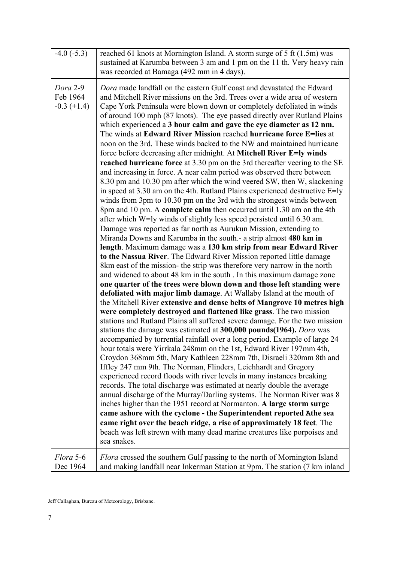| $-4.0$ $(-5.3)$                       | reached 61 knots at Mornington Island. A storm surge of 5 ft (1.5m) was<br>sustained at Karumba between 3 am and 1 pm on the 11 th. Very heavy rain<br>was recorded at Bamaga (492 mm in 4 days).                                                                                                                                                                                                                                                                                                                                                                                                                                                                                                                                                                                                                                                                                                                                                                                                                                                                                                                                                                                                                                                                                                                                                                                                                                                                                                                                                                                                                                                                                                                                                                                                                                                                                                                                                                                                                                                                                                                                                                                                                                                                                                                                                                                                                                                                                                                                                                                                                                                                                                                                                                                                                                                                                                            |
|---------------------------------------|--------------------------------------------------------------------------------------------------------------------------------------------------------------------------------------------------------------------------------------------------------------------------------------------------------------------------------------------------------------------------------------------------------------------------------------------------------------------------------------------------------------------------------------------------------------------------------------------------------------------------------------------------------------------------------------------------------------------------------------------------------------------------------------------------------------------------------------------------------------------------------------------------------------------------------------------------------------------------------------------------------------------------------------------------------------------------------------------------------------------------------------------------------------------------------------------------------------------------------------------------------------------------------------------------------------------------------------------------------------------------------------------------------------------------------------------------------------------------------------------------------------------------------------------------------------------------------------------------------------------------------------------------------------------------------------------------------------------------------------------------------------------------------------------------------------------------------------------------------------------------------------------------------------------------------------------------------------------------------------------------------------------------------------------------------------------------------------------------------------------------------------------------------------------------------------------------------------------------------------------------------------------------------------------------------------------------------------------------------------------------------------------------------------------------------------------------------------------------------------------------------------------------------------------------------------------------------------------------------------------------------------------------------------------------------------------------------------------------------------------------------------------------------------------------------------------------------------------------------------------------------------------------------------|
| Dora 2-9<br>Feb 1964<br>$-0.3 (+1.4)$ | Dora made landfall on the eastern Gulf coast and devastated the Edward<br>and Mitchell River missions on the 3rd. Trees over a wide area of western<br>Cape York Peninsula were blown down or completely defoliated in winds<br>of around 100 mph (87 knots). The eye passed directly over Rutland Plains<br>which experienced a 3 hour calm and gave the eye diameter as 12 nm.<br>The winds at Edward River Mission reached hurricane force E=lies at<br>noon on the 3rd. These winds backed to the NW and maintained hurricane<br>force before decreasing after midnight. At Mitchell River E=ly winds<br>reached hurricane force at 3.30 pm on the 3rd thereafter veering to the SE<br>and increasing in force. A near calm period was observed there between<br>8.30 pm and 10.30 pm after which the wind veered SW, then W, slackening<br>in speed at 3.30 am on the 4th. Rutland Plains experienced destructive E=ly<br>winds from 3pm to 10.30 pm on the 3rd with the strongest winds between<br>8pm and 10 pm. A complete calm then occurred until 1.30 am on the 4th<br>after which W=ly winds of slightly less speed persisted until 6.30 am.<br>Damage was reported as far north as Aurukun Mission, extending to<br>Miranda Downs and Karumba in the south - a strip almost 480 km in<br>length. Maximum damage was a 130 km strip from near Edward River<br>to the Nassua River. The Edward River Mission reported little damage<br>8km east of the mission- the strip was therefore very narrow in the north<br>and widened to about 48 km in the south. In this maximum damage zone<br>one quarter of the trees were blown down and those left standing were<br>defoliated with major limb damage. At Wallaby Island at the mouth of<br>the Mitchell River extensive and dense belts of Mangrove 10 metres high<br>were completely destroyed and flattened like grass. The two mission<br>stations and Rutland Plains all suffered severe damage. For the two mission<br>stations the damage was estimated at 300,000 pounds(1964). Dora was<br>accompanied by torrential rainfall over a long period. Example of large 24<br>hour totals were Yirrkala 248mm on the 1st, Edward River 197mm 4th,<br>Croydon 368mm 5th, Mary Kathleen 228mm 7th, Disraeli 320mm 8th and<br>Iffley 247 mm 9th. The Norman, Flinders, Leichhardt and Gregory<br>experienced record floods with river levels in many instances breaking<br>records. The total discharge was estimated at nearly double the average<br>annual discharge of the Murray/Darling systems. The Norman River was 8<br>inches higher than the 1951 record at Normanton. A large storm surge<br>came ashore with the cyclone - the Superintendent reported Athe sea<br>came right over the beach ridge, a rise of approximately 18 feet. The<br>beach was left strewn with many dead marine creatures like porpoises and<br>sea snakes. |
| Flora 5-6<br>Dec 1964                 | <i>Flora</i> crossed the southern Gulf passing to the north of Mornington Island<br>and making landfall near Inkerman Station at 9pm. The station (7 km inland                                                                                                                                                                                                                                                                                                                                                                                                                                                                                                                                                                                                                                                                                                                                                                                                                                                                                                                                                                                                                                                                                                                                                                                                                                                                                                                                                                                                                                                                                                                                                                                                                                                                                                                                                                                                                                                                                                                                                                                                                                                                                                                                                                                                                                                                                                                                                                                                                                                                                                                                                                                                                                                                                                                                               |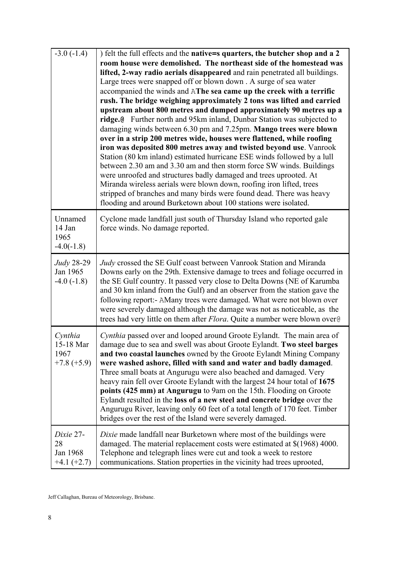| $-3.0(-1.4)$                                  | ) felt the full effects and the native=s quarters, the butcher shop and a 2<br>room house were demolished. The northeast side of the homestead was<br>lifted, 2-way radio aerials disappeared and rain penetrated all buildings.<br>Large trees were snapped off or blown down . A surge of sea water<br>accompanied the winds and AThe sea came up the creek with a terrific<br>rush. The bridge weighing approximately 2 tons was lifted and carried<br>upstream about 800 metres and dumped approximately 90 metres up a<br>ridge.@ Further north and 95km inland, Dunbar Station was subjected to<br>damaging winds between 6.30 pm and 7.25pm. Mango trees were blown<br>over in a strip 200 metres wide, houses were flattened, while roofing<br>iron was deposited 800 metres away and twisted beyond use. Vanrook<br>Station (80 km inland) estimated hurricane ESE winds followed by a lull<br>between 2.30 am and 3.30 am and then storm force SW winds. Buildings<br>were unroofed and structures badly damaged and trees uprooted. At<br>Miranda wireless aerials were blown down, roofing iron lifted, trees<br>stripped of branches and many birds were found dead. There was heavy<br>flooding and around Burketown about 100 stations were isolated. |
|-----------------------------------------------|----------------------------------------------------------------------------------------------------------------------------------------------------------------------------------------------------------------------------------------------------------------------------------------------------------------------------------------------------------------------------------------------------------------------------------------------------------------------------------------------------------------------------------------------------------------------------------------------------------------------------------------------------------------------------------------------------------------------------------------------------------------------------------------------------------------------------------------------------------------------------------------------------------------------------------------------------------------------------------------------------------------------------------------------------------------------------------------------------------------------------------------------------------------------------------------------------------------------------------------------------------------------|
| Unnamed<br>14 Jan<br>1965<br>$-4.0(-1.8)$     | Cyclone made landfall just south of Thursday Island who reported gale<br>force winds. No damage reported.                                                                                                                                                                                                                                                                                                                                                                                                                                                                                                                                                                                                                                                                                                                                                                                                                                                                                                                                                                                                                                                                                                                                                            |
| Judy 28-29<br>Jan 1965<br>$-4.0(-1.8)$        | Judy crossed the SE Gulf coast between Vanrook Station and Miranda<br>Downs early on the 29th. Extensive damage to trees and foliage occurred in<br>the SE Gulf country. It passed very close to Delta Downs (NE of Karumba<br>and 30 km inland from the Gulf) and an observer from the station gave the<br>following report:- AMany trees were damaged. What were not blown over<br>were severely damaged although the damage was not as noticeable, as the<br>trees had very little on them after <i>Flora</i> . Quite a number were blown over@                                                                                                                                                                                                                                                                                                                                                                                                                                                                                                                                                                                                                                                                                                                   |
| Cynthia<br>15-18 Mar<br>1967<br>$+7.8 (+5.9)$ | Cynthia passed over and looped around Groote Eylandt. The main area of<br>damage due to sea and swell was about Groote Eylandt. Two steel barges<br>and two coastal launches owned by the Groote Eylandt Mining Company<br>were washed ashore, filled with sand and water and badly damaged.<br>Three small boats at Angurugu were also beached and damaged. Very<br>heavy rain fell over Groote Eylandt with the largest 24 hour total of 1675<br>points (425 mm) at Angurugu to 9am on the 15th. Flooding on Groote<br>Eylandt resulted in the loss of a new steel and concrete bridge over the<br>Angurugu River, leaving only 60 feet of a total length of 170 feet. Timber<br>bridges over the rest of the Island were severely damaged.                                                                                                                                                                                                                                                                                                                                                                                                                                                                                                                        |
| Dixie 27-<br>28<br>Jan 1968<br>$+4.1 (+2.7)$  | Dixie made landfall near Burketown where most of the buildings were<br>damaged. The material replacement costs were estimated at \$(1968) 4000.<br>Telephone and telegraph lines were cut and took a week to restore<br>communications. Station properties in the vicinity had trees uprooted,                                                                                                                                                                                                                                                                                                                                                                                                                                                                                                                                                                                                                                                                                                                                                                                                                                                                                                                                                                       |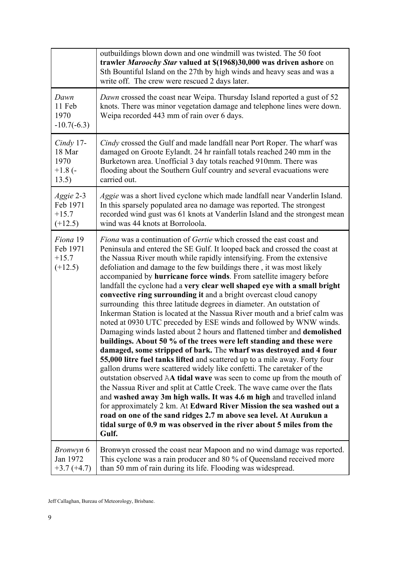|                                              | outbuildings blown down and one windmill was twisted. The 50 foot<br>trawler Maroochy Star valued at \$(1968)30,000 was driven ashore on<br>Sth Bountiful Island on the 27th by high winds and heavy seas and was a<br>write off. The crew were rescued 2 days later.                                                                                                                                                                                                                                                                                                                                                                                                                                                                                                                                                                                                                                                                                                                                                                                                                                                                                                                                                                                                                                                                                                                                                                                                                                                                                                                                                    |
|----------------------------------------------|--------------------------------------------------------------------------------------------------------------------------------------------------------------------------------------------------------------------------------------------------------------------------------------------------------------------------------------------------------------------------------------------------------------------------------------------------------------------------------------------------------------------------------------------------------------------------------------------------------------------------------------------------------------------------------------------------------------------------------------------------------------------------------------------------------------------------------------------------------------------------------------------------------------------------------------------------------------------------------------------------------------------------------------------------------------------------------------------------------------------------------------------------------------------------------------------------------------------------------------------------------------------------------------------------------------------------------------------------------------------------------------------------------------------------------------------------------------------------------------------------------------------------------------------------------------------------------------------------------------------------|
| Dawn<br>11 Feb<br>1970<br>$-10.7(-6.3)$      | Dawn crossed the coast near Weipa. Thursday Island reported a gust of 52<br>knots. There was minor vegetation damage and telephone lines were down.<br>Weipa recorded 443 mm of rain over 6 days.                                                                                                                                                                                                                                                                                                                                                                                                                                                                                                                                                                                                                                                                                                                                                                                                                                                                                                                                                                                                                                                                                                                                                                                                                                                                                                                                                                                                                        |
| $Cindy$ 17-                                  | Cindy crossed the Gulf and made landfall near Port Roper. The wharf was                                                                                                                                                                                                                                                                                                                                                                                                                                                                                                                                                                                                                                                                                                                                                                                                                                                                                                                                                                                                                                                                                                                                                                                                                                                                                                                                                                                                                                                                                                                                                  |
| 18 Mar                                       | damaged on Groote Eylandt. 24 hr rainfall totals reached 240 mm in the                                                                                                                                                                                                                                                                                                                                                                                                                                                                                                                                                                                                                                                                                                                                                                                                                                                                                                                                                                                                                                                                                                                                                                                                                                                                                                                                                                                                                                                                                                                                                   |
| 1970                                         | Burketown area. Unofficial 3 day totals reached 910mm. There was                                                                                                                                                                                                                                                                                                                                                                                                                                                                                                                                                                                                                                                                                                                                                                                                                                                                                                                                                                                                                                                                                                                                                                                                                                                                                                                                                                                                                                                                                                                                                         |
| $+1.8$ (-                                    | flooding about the Southern Gulf country and several evacuations were                                                                                                                                                                                                                                                                                                                                                                                                                                                                                                                                                                                                                                                                                                                                                                                                                                                                                                                                                                                                                                                                                                                                                                                                                                                                                                                                                                                                                                                                                                                                                    |
| 13.5)                                        | carried out.                                                                                                                                                                                                                                                                                                                                                                                                                                                                                                                                                                                                                                                                                                                                                                                                                                                                                                                                                                                                                                                                                                                                                                                                                                                                                                                                                                                                                                                                                                                                                                                                             |
| Aggie 2-3                                    | Aggie was a short lived cyclone which made landfall near Vanderlin Island.                                                                                                                                                                                                                                                                                                                                                                                                                                                                                                                                                                                                                                                                                                                                                                                                                                                                                                                                                                                                                                                                                                                                                                                                                                                                                                                                                                                                                                                                                                                                               |
| Feb 1971                                     | In this sparsely populated area no damage was reported. The strongest                                                                                                                                                                                                                                                                                                                                                                                                                                                                                                                                                                                                                                                                                                                                                                                                                                                                                                                                                                                                                                                                                                                                                                                                                                                                                                                                                                                                                                                                                                                                                    |
| $+15.7$                                      | recorded wind gust was 61 knots at Vanderlin Island and the strongest mean                                                                                                                                                                                                                                                                                                                                                                                                                                                                                                                                                                                                                                                                                                                                                                                                                                                                                                                                                                                                                                                                                                                                                                                                                                                                                                                                                                                                                                                                                                                                               |
| $(+12.5)$                                    | wind was 44 knots at Borroloola.                                                                                                                                                                                                                                                                                                                                                                                                                                                                                                                                                                                                                                                                                                                                                                                                                                                                                                                                                                                                                                                                                                                                                                                                                                                                                                                                                                                                                                                                                                                                                                                         |
| Fiona 19<br>Feb 1971<br>$+15.7$<br>$(+12.5)$ | <i>Fiona</i> was a continuation of <i>Gertie</i> which crossed the east coast and<br>Peninsula and entered the SE Gulf. It looped back and crossed the coast at<br>the Nassua River mouth while rapidly intensifying. From the extensive<br>defoliation and damage to the few buildings there, it was most likely<br>accompanied by hurricane force winds. From satellite imagery before<br>landfall the cyclone had a very clear well shaped eye with a small bright<br>convective ring surrounding it and a bright overcast cloud canopy<br>surrounding this three latitude degrees in diameter. An outstation of<br>Inkerman Station is located at the Nassua River mouth and a brief calm was<br>noted at 0930 UTC preceded by ESE winds and followed by WNW winds.<br>Damaging winds lasted about 2 hours and flattened timber and demolished<br>buildings. About 50 % of the trees were left standing and these were<br>damaged, some stripped of bark. The wharf was destroyed and 4 four<br>55,000 litre fuel tanks lifted and scattered up to a mile away. Forty four<br>gallon drums were scattered widely like confetti. The caretaker of the<br>outstation observed AA tidal wave was seen to come up from the mouth of<br>the Nassua River and split at Cattle Creek. The wave came over the flats<br>and washed away 3m high walls. It was 4.6 m high and travelled inland<br>for approximately 2 km. At Edward River Mission the sea washed out a<br>road on one of the sand ridges 2.7 m above sea level. At Aurukun a<br>tidal surge of 0.9 m was observed in the river about 5 miles from the<br>Gulf. |
| <i>Bronwyn</i> 6                             | Bronwyn crossed the coast near Mapoon and no wind damage was reported.                                                                                                                                                                                                                                                                                                                                                                                                                                                                                                                                                                                                                                                                                                                                                                                                                                                                                                                                                                                                                                                                                                                                                                                                                                                                                                                                                                                                                                                                                                                                                   |
| Jan 1972                                     | This cyclone was a rain producer and 80 % of Queensland received more                                                                                                                                                                                                                                                                                                                                                                                                                                                                                                                                                                                                                                                                                                                                                                                                                                                                                                                                                                                                                                                                                                                                                                                                                                                                                                                                                                                                                                                                                                                                                    |
| $+3.7(+4.7)$                                 | than 50 mm of rain during its life. Flooding was widespread.                                                                                                                                                                                                                                                                                                                                                                                                                                                                                                                                                                                                                                                                                                                                                                                                                                                                                                                                                                                                                                                                                                                                                                                                                                                                                                                                                                                                                                                                                                                                                             |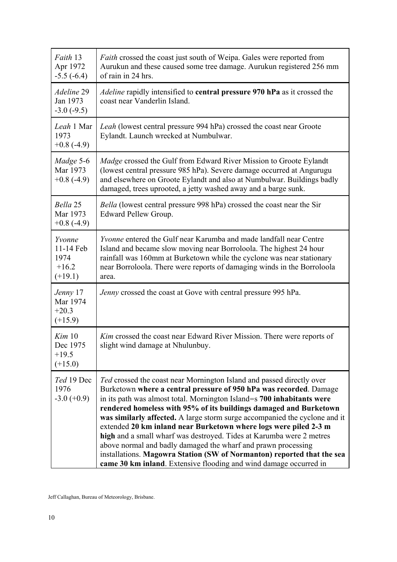| Faith 13<br>Apr 1972<br>$-5.5(-6.4)$                | <i>Faith</i> crossed the coast just south of Weipa. Gales were reported from<br>Aurukun and these caused some tree damage. Aurukun registered 256 mm<br>of rain in 24 hrs.                                                                                                                                                                                                                                                                                                                                                                                                                                                                                                                                                           |
|-----------------------------------------------------|--------------------------------------------------------------------------------------------------------------------------------------------------------------------------------------------------------------------------------------------------------------------------------------------------------------------------------------------------------------------------------------------------------------------------------------------------------------------------------------------------------------------------------------------------------------------------------------------------------------------------------------------------------------------------------------------------------------------------------------|
| Adeline 29<br>Jan 1973<br>$-3.0(-9.5)$              | <i>Adeline</i> rapidly intensified to <b>central pressure 970 hPa</b> as it crossed the<br>coast near Vanderlin Island.                                                                                                                                                                                                                                                                                                                                                                                                                                                                                                                                                                                                              |
| Leah 1 Mar<br>1973<br>$+0.8$ (-4.9)                 | <i>Leah</i> (lowest central pressure 994 hPa) crossed the coast near Groote<br>Eylandt. Launch wrecked at Numbulwar.                                                                                                                                                                                                                                                                                                                                                                                                                                                                                                                                                                                                                 |
| Madge 5-6<br>Mar 1973<br>$+0.8$ (-4.9)              | Madge crossed the Gulf from Edward River Mission to Groote Eylandt<br>(lowest central pressure 985 hPa). Severe damage occurred at Angurugu<br>and elsewhere on Groote Eylandt and also at Numbulwar. Buildings badly<br>damaged, trees uprooted, a jetty washed away and a barge sunk.                                                                                                                                                                                                                                                                                                                                                                                                                                              |
| Bella 25<br>Mar 1973<br>$+0.8$ (-4.9)               | Bella (lowest central pressure 998 hPa) crossed the coast near the Sir<br>Edward Pellew Group.                                                                                                                                                                                                                                                                                                                                                                                                                                                                                                                                                                                                                                       |
| Yvonne<br>11-14 Feb<br>1974<br>$+16.2$<br>$(+19.1)$ | <i>Yvonne</i> entered the Gulf near Karumba and made landfall near Centre<br>Island and became slow moving near Borroloola. The highest 24 hour<br>rainfall was 160mm at Burketown while the cyclone was near stationary<br>near Borroloola. There were reports of damaging winds in the Borroloola<br>area.                                                                                                                                                                                                                                                                                                                                                                                                                         |
| Jenny 17<br>Mar 1974<br>$+20.3$<br>$(+15.9)$        | Jenny crossed the coast at Gove with central pressure 995 hPa.                                                                                                                                                                                                                                                                                                                                                                                                                                                                                                                                                                                                                                                                       |
| Kim 10<br>Dec 1975<br>$+19.5$<br>$(+15.0)$          | Kim crossed the coast near Edward River Mission. There were reports of<br>slight wind damage at Nhulunbuy.                                                                                                                                                                                                                                                                                                                                                                                                                                                                                                                                                                                                                           |
| Ted 19 Dec<br>1976<br>$-3.0 (+0.9)$                 | Ted crossed the coast near Mornington Island and passed directly over<br>Burketown where a central pressure of 950 hPa was recorded. Damage<br>in its path was almost total. Mornington Island=s 700 inhabitants were<br>rendered homeless with 95% of its buildings damaged and Burketown<br>was similarly affected. A large storm surge accompanied the cyclone and it<br>extended 20 km inland near Burketown where logs were piled 2-3 m<br>high and a small wharf was destroyed. Tides at Karumba were 2 metres<br>above normal and badly damaged the wharf and prawn processing<br>installations. Magowra Station (SW of Normanton) reported that the sea<br>came 30 km inland. Extensive flooding and wind damage occurred in |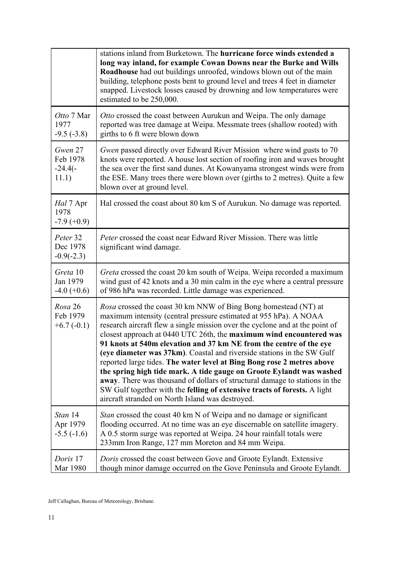|                                            | stations inland from Burketown. The <b>hurricane force winds extended a</b><br>long way inland, for example Cowan Downs near the Burke and Wills<br>Roadhouse had out buildings unroofed, windows blown out of the main<br>building, telephone posts bent to ground level and trees 4 feet in diameter<br>snapped. Livestock losses caused by drowning and low temperatures were<br>estimated to be 250,000.                                                                                                                                                                                                                                                                                                                                                                                                  |
|--------------------------------------------|---------------------------------------------------------------------------------------------------------------------------------------------------------------------------------------------------------------------------------------------------------------------------------------------------------------------------------------------------------------------------------------------------------------------------------------------------------------------------------------------------------------------------------------------------------------------------------------------------------------------------------------------------------------------------------------------------------------------------------------------------------------------------------------------------------------|
| Otto 7 Mar<br>1977<br>$-9.5(-3.8)$         | Otto crossed the coast between Aurukun and Weipa. The only damage<br>reported was tree damage at Weipa. Messmate trees (shallow rooted) with<br>girths to 6 ft were blown down                                                                                                                                                                                                                                                                                                                                                                                                                                                                                                                                                                                                                                |
| Gwen 27<br>Feb 1978<br>$-24.4(-)$<br>11.1) | <i>Gwen</i> passed directly over Edward River Mission where wind gusts to 70<br>knots were reported. A house lost section of roofing iron and waves brought<br>the sea over the first sand dunes. At Kowanyama strongest winds were from<br>the ESE. Many trees there were blown over (girths to 2 metres). Quite a few<br>blown over at ground level.                                                                                                                                                                                                                                                                                                                                                                                                                                                        |
| Hal 7 Apr<br>1978<br>$-7.9(+0.9)$          | Hal crossed the coast about 80 km S of Aurukun. No damage was reported.                                                                                                                                                                                                                                                                                                                                                                                                                                                                                                                                                                                                                                                                                                                                       |
| Peter 32<br>Dec 1978<br>$-0.9(-2.3)$       | <i>Peter</i> crossed the coast near Edward River Mission. There was little<br>significant wind damage.                                                                                                                                                                                                                                                                                                                                                                                                                                                                                                                                                                                                                                                                                                        |
| Greta 10<br>Jan 1979<br>$-4.0 (+0.6)$      | Greta crossed the coast 20 km south of Weipa. Weipa recorded a maximum<br>wind gust of 42 knots and a 30 min calm in the eye where a central pressure<br>of 986 hPa was recorded. Little damage was experienced.                                                                                                                                                                                                                                                                                                                                                                                                                                                                                                                                                                                              |
| Rosa 26<br>Feb 1979<br>$+6.7(-0.1)$        | Rosa crossed the coast 30 km NNW of Bing Bong homestead (NT) at<br>maximum intensity (central pressure estimated at 955 hPa). A NOAA<br>research aircraft flew a single mission over the cyclone and at the point of<br>closest approach at 0440 UTC 26th, the maximum wind encountered was<br>91 knots at 540m elevation and 37 km NE from the centre of the eye<br>(eye diameter was 37km). Coastal and riverside stations in the SW Gulf<br>reported large tides. The water level at Bing Bong rose 2 metres above<br>the spring high tide mark. A tide gauge on Groote Eylandt was washed<br>away. There was thousand of dollars of structural damage to stations in the<br>SW Gulf together with the felling of extensive tracts of forests. A light<br>aircraft stranded on North Island was destroyed. |
| Stan 14<br>Apr 1979<br>$-5.5(-1.6)$        | <i>Stan</i> crossed the coast 40 km N of Weipa and no damage or significant<br>flooding occurred. At no time was an eye discernable on satellite imagery.<br>A 0.5 storm surge was reported at Weipa. 24 hour rainfall totals were<br>233mm Iron Range, 127 mm Moreton and 84 mm Weipa.                                                                                                                                                                                                                                                                                                                                                                                                                                                                                                                       |
| Doris 17<br>Mar 1980                       | Doris crossed the coast between Gove and Groote Eylandt. Extensive<br>though minor damage occurred on the Gove Peninsula and Groote Eylandt.                                                                                                                                                                                                                                                                                                                                                                                                                                                                                                                                                                                                                                                                  |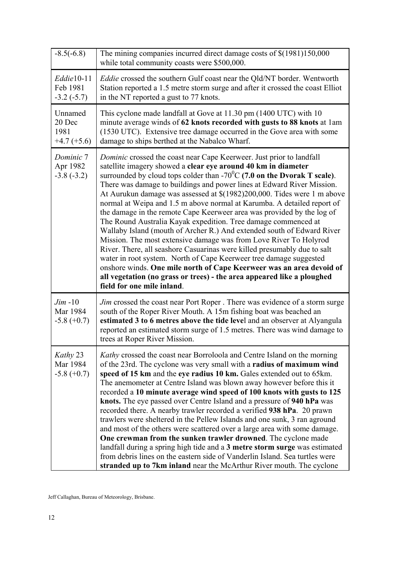| $-8.5(-6.8)$                               | The mining companies incurred direct damage costs of \$(1981)150,000<br>while total community coasts were \$500,000.                                                                                                                                                                                                                                                                                                                                                                                                                                                                                                                                                                                                                                                                                                                                                                                                                                                                                                                                                                       |
|--------------------------------------------|--------------------------------------------------------------------------------------------------------------------------------------------------------------------------------------------------------------------------------------------------------------------------------------------------------------------------------------------------------------------------------------------------------------------------------------------------------------------------------------------------------------------------------------------------------------------------------------------------------------------------------------------------------------------------------------------------------------------------------------------------------------------------------------------------------------------------------------------------------------------------------------------------------------------------------------------------------------------------------------------------------------------------------------------------------------------------------------------|
| $Eddie10-11$<br>Feb 1981<br>$-3.2(-5.7)$   | <i>Eddie</i> crossed the southern Gulf coast near the Qld/NT border. Wentworth<br>Station reported a 1.5 metre storm surge and after it crossed the coast Elliot<br>in the NT reported a gust to 77 knots.                                                                                                                                                                                                                                                                                                                                                                                                                                                                                                                                                                                                                                                                                                                                                                                                                                                                                 |
| Unnamed<br>20 Dec<br>1981<br>$+4.7 (+5.6)$ | This cyclone made landfall at Gove at 11.30 pm (1400 UTC) with 10<br>minute average winds of 62 knots recorded with gusts to 88 knots at 1am<br>(1530 UTC). Extensive tree damage occurred in the Gove area with some<br>damage to ships berthed at the Nabalco Wharf.                                                                                                                                                                                                                                                                                                                                                                                                                                                                                                                                                                                                                                                                                                                                                                                                                     |
| Dominic 7<br>Apr 1982<br>$-3.8(-3.2)$      | Dominic crossed the coast near Cape Keerweer. Just prior to landfall<br>satellite imagery showed a clear eye around 40 km in diameter<br>surrounded by cloud tops colder than -70 <sup>°</sup> C (7.0 on the Dvorak T scale).<br>There was damage to buildings and power lines at Edward River Mission.<br>At Aurukun damage was assessed at \$(1982)200,000. Tides were 1 m above<br>normal at Weipa and 1.5 m above normal at Karumba. A detailed report of<br>the damage in the remote Cape Keerweer area was provided by the log of<br>The Round Australia Kayak expedition. Tree damage commenced at<br>Wallaby Island (mouth of Archer R.) And extended south of Edward River<br>Mission. The most extensive damage was from Love River To Holyrod<br>River. There, all seashore Casuarinas were killed presumably due to salt<br>water in root system. North of Cape Keerweer tree damage suggested<br>onshore winds. One mile north of Cape Keerweer was an area devoid of<br>all vegetation (no grass or trees) - the area appeared like a ploughed<br>field for one mile inland. |
| $Jim -10$<br>Mar 1984<br>$-5.8 (+0.7)$     | <i>Jim</i> crossed the coast near Port Roper. There was evidence of a storm surge<br>south of the Roper River Mouth. A 15m fishing boat was beached an<br>estimated 3 to 6 metres above the tide level and an observer at Alyangula<br>reported an estimated storm surge of 1.5 metres. There was wind damage to<br>trees at Roper River Mission.                                                                                                                                                                                                                                                                                                                                                                                                                                                                                                                                                                                                                                                                                                                                          |
| Kathy 23<br>Mar 1984<br>$-5.8 (+0.7)$      | Kathy crossed the coast near Borroloola and Centre Island on the morning<br>of the 23rd. The cyclone was very small with a radius of maximum wind<br>speed of 15 km and the eye radius 10 km. Gales extended out to 65 km.<br>The anemometer at Centre Island was blown away however before this it<br>recorded a 10 minute average wind speed of 100 knots with gusts to 125<br>knots. The eye passed over Centre Island and a pressure of 940 hPa was<br>recorded there. A nearby trawler recorded a verified 938 hPa. 20 prawn<br>trawlers were sheltered in the Pellew Islands and one sunk, 3 ran aground<br>and most of the others were scattered over a large area with some damage.<br>One crewman from the sunken trawler drowned. The cyclone made<br>landfall during a spring high tide and a 3 metre storm surge was estimated<br>from debris lines on the eastern side of Vanderlin Island. Sea turtles were<br>stranded up to 7km inland near the McArthur River mouth. The cyclone                                                                                          |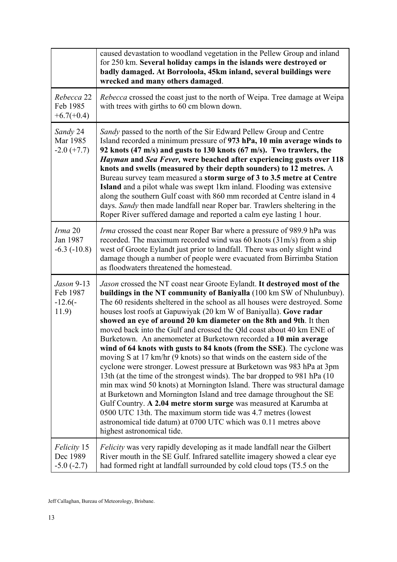|                                                | caused devastation to woodland vegetation in the Pellew Group and inland<br>for 250 km. Several holiday camps in the islands were destroyed or<br>badly damaged. At Borroloola, 45km inland, several buildings were<br>wrecked and many others damaged.                                                                                                                                                                                                                                                                                                                                                                                                                                                                                                                                                                                                                                                                                                                                                                                                                                                                                                                                                                         |
|------------------------------------------------|---------------------------------------------------------------------------------------------------------------------------------------------------------------------------------------------------------------------------------------------------------------------------------------------------------------------------------------------------------------------------------------------------------------------------------------------------------------------------------------------------------------------------------------------------------------------------------------------------------------------------------------------------------------------------------------------------------------------------------------------------------------------------------------------------------------------------------------------------------------------------------------------------------------------------------------------------------------------------------------------------------------------------------------------------------------------------------------------------------------------------------------------------------------------------------------------------------------------------------|
| Rebecca 22<br>Feb 1985<br>$+6.7(+0.4)$         | Rebecca crossed the coast just to the north of Weipa. Tree damage at Weipa<br>with trees with girths to 60 cm blown down.                                                                                                                                                                                                                                                                                                                                                                                                                                                                                                                                                                                                                                                                                                                                                                                                                                                                                                                                                                                                                                                                                                       |
| Sandy 24<br>Mar 1985<br>$-2.0$ (+7.7)          | Sandy passed to the north of the Sir Edward Pellew Group and Centre<br>Island recorded a minimum pressure of 973 hPa, 10 min average winds to<br>92 knots (47 m/s) and gusts to 130 knots (67 m/s). Two trawlers, the<br>Hayman and Sea Fever, were beached after experiencing gusts over 118<br>knots and swells (measured by their depth sounders) to 12 metres. A<br>Bureau survey team measured a storm surge of 3 to 3.5 metre at Centre<br><b>Island</b> and a pilot whale was swept 1km inland. Flooding was extensive<br>along the southern Gulf coast with 860 mm recorded at Centre island in 4<br>days. Sandy then made landfall near Roper bar. Trawlers sheltering in the<br>Roper River suffered damage and reported a calm eye lasting 1 hour.                                                                                                                                                                                                                                                                                                                                                                                                                                                                   |
| Irma 20<br>Jan 1987<br>$-6.3$ $(-10.8)$        | Irma crossed the coast near Roper Bar where a pressure of 989.9 hPa was<br>recorded. The maximum recorded wind was 60 knots (31m/s) from a ship<br>west of Groote Eylandt just prior to landfall. There was only slight wind<br>damage though a number of people were evacuated from Birrimba Station<br>as floodwaters threatened the homestead.                                                                                                                                                                                                                                                                                                                                                                                                                                                                                                                                                                                                                                                                                                                                                                                                                                                                               |
| Jason 9-13<br>Feb 1987<br>$-12.6(-)$<br>11.9)  | Jason crossed the NT coast near Groote Eylandt. It destroyed most of the<br>buildings in the NT community of Baniyalla (100 km SW of Nhulunbuy).<br>The 60 residents sheltered in the school as all houses were destroyed. Some<br>houses lost roofs at Gapuwiyak (20 km W of Baniyalla). Gove radar<br>showed an eye of around 20 km diameter on the 8th and 9th. It then<br>moved back into the Gulf and crossed the Qld coast about 40 km ENE of<br>Burketown. An anemometer at Burketown recorded a 10 min average<br>wind of 64 knots with gusts to 84 knots (from the SSE). The cyclone was<br>moving S at 17 km/hr (9 knots) so that winds on the eastern side of the<br>cyclone were stronger. Lowest pressure at Burketown was 983 hPa at 3pm<br>13th (at the time of the strongest winds). The bar dropped to 981 hPa (10)<br>min max wind 50 knots) at Mornington Island. There was structural damage<br>at Burketown and Mornington Island and tree damage throughout the SE<br>Gulf Country. A 2.04 metre storm surge was measured at Karumba at<br>0500 UTC 13th. The maximum storm tide was 4.7 metres (lowest<br>astronomical tide datum) at 0700 UTC which was 0.11 metres above<br>highest astronomical tide. |
| <i>Felicity</i> 15<br>Dec 1989<br>$-5.0(-2.7)$ | <i>Felicity</i> was very rapidly developing as it made landfall near the Gilbert<br>River mouth in the SE Gulf. Infrared satellite imagery showed a clear eye<br>had formed right at landfall surrounded by cold cloud tops (T5.5 on the                                                                                                                                                                                                                                                                                                                                                                                                                                                                                                                                                                                                                                                                                                                                                                                                                                                                                                                                                                                        |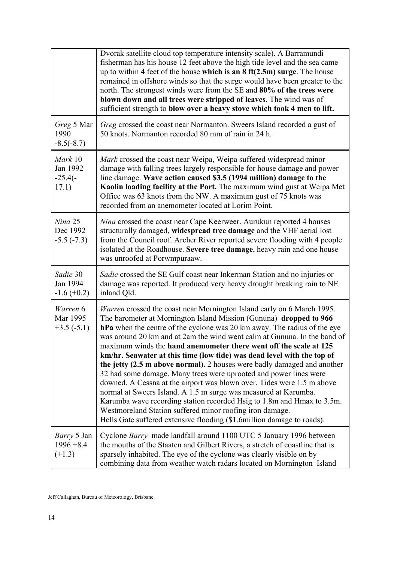|                                                | Dvorak satellite cloud top temperature intensity scale). A Barramundi<br>fisherman has his house 12 feet above the high tide level and the sea came<br>up to within 4 feet of the house which is an $8 \text{ ft}(2.5\text{m})$ surge. The house<br>remained in offshore winds so that the surge would have been greater to the<br>north. The strongest winds were from the SE and 80% of the trees were<br>blown down and all trees were stripped of leaves. The wind was of<br>sufficient strength to blow over a heavy stove which took 4 men to lift.                                                                                                                                                                                                                                                                                                                                                                                                               |
|------------------------------------------------|-------------------------------------------------------------------------------------------------------------------------------------------------------------------------------------------------------------------------------------------------------------------------------------------------------------------------------------------------------------------------------------------------------------------------------------------------------------------------------------------------------------------------------------------------------------------------------------------------------------------------------------------------------------------------------------------------------------------------------------------------------------------------------------------------------------------------------------------------------------------------------------------------------------------------------------------------------------------------|
| Greg 5 Mar<br>1990<br>$-8.5(-8.7)$             | Greg crossed the coast near Normanton. Sweers Island recorded a gust of<br>50 knots. Normanton recorded 80 mm of rain in 24 h.                                                                                                                                                                                                                                                                                                                                                                                                                                                                                                                                                                                                                                                                                                                                                                                                                                          |
| Mark 10<br>Jan 1992<br>$-25.4(-)$<br>17.1)     | Mark crossed the coast near Weipa, Weipa suffered widespread minor<br>damage with falling trees largely responsible for house damage and power<br>line damage. Wave action caused \$3.5 (1994 million) damage to the<br>Kaolin loading facility at the Port. The maximum wind gust at Weipa Met<br>Office was 63 knots from the NW. A maximum gust of 75 knots was<br>recorded from an anemometer located at Lorim Point.                                                                                                                                                                                                                                                                                                                                                                                                                                                                                                                                               |
| Nina 25<br>Dec 1992<br>$-5.5(-7.3)$            | <i>Nina</i> crossed the coast near Cape Keerweer. Aurukun reported 4 houses<br>structurally damaged, widespread tree damage and the VHF aerial lost<br>from the Council roof. Archer River reported severe flooding with 4 people<br>isolated at the Roadhouse. Severe tree damage, heavy rain and one house<br>was unroofed at Porwmpuraaw.                                                                                                                                                                                                                                                                                                                                                                                                                                                                                                                                                                                                                            |
| Sadie 30<br>Jan 1994<br>$-1.6 (+0.2)$          | Sadie crossed the SE Gulf coast near Inkerman Station and no injuries or<br>damage was reported. It produced very heavy drought breaking rain to NE<br>inland Qld.                                                                                                                                                                                                                                                                                                                                                                                                                                                                                                                                                                                                                                                                                                                                                                                                      |
| Warren 6<br>Mar 1995<br>$+3.5(-5.1)$           | <i>Warren</i> crossed the coast near Mornington Island early on 6 March 1995.<br>The barometer at Mornington Island Mission (Gununa) dropped to 966<br>hPa when the centre of the cyclone was 20 km away. The radius of the eye<br>was around 20 km and at 2am the wind went calm at Gununa. In the band of<br>maximum winds the hand anemometer there went off the scale at 125<br>km/hr. Seawater at this time (low tide) was dead level with the top of<br>the jetty (2.5 m above normal). 2 houses were badly damaged and another<br>32 had some damage. Many trees were uprooted and power lines were<br>downed. A Cessna at the airport was blown over. Tides were 1.5 m above<br>normal at Sweers Island. A 1.5 m surge was measured at Karumba.<br>Karumba wave recording station recorded Hsig to 1.8m and Hmax to 3.5m.<br>Westmoreland Station suffered minor roofing iron damage.<br>Hells Gate suffered extensive flooding (\$1.6million damage to roads). |
| <i>Barry</i> 5 Jan<br>$1996 + 8.4$<br>$(+1.3)$ | Cyclone Barry made landfall around 1100 UTC 5 January 1996 between<br>the mouths of the Staaten and Gilbert Rivers, a stretch of coastline that is<br>sparsely inhabited. The eye of the cyclone was clearly visible on by<br>combining data from weather watch radars located on Mornington Island                                                                                                                                                                                                                                                                                                                                                                                                                                                                                                                                                                                                                                                                     |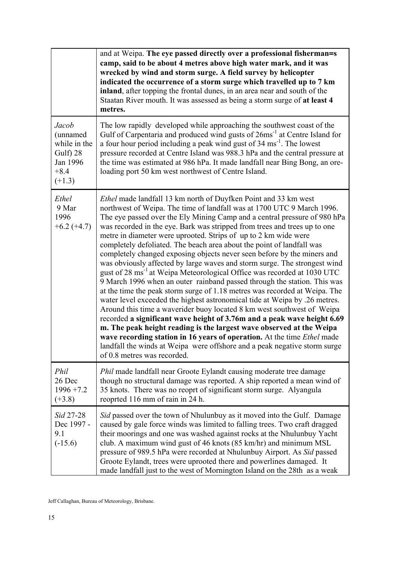|                                                                                 | and at Weipa. The eye passed directly over a professional fisherman=s<br>camp, said to be about 4 metres above high water mark, and it was<br>wrecked by wind and storm surge. A field survey by helicopter<br>indicated the occurrence of a storm surge which travelled up to 7 km<br>inland, after topping the frontal dunes, in an area near and south of the<br>Staatan River mouth. It was assessed as being a storm surge of at least 4<br>metres.                                                                                                                                                                                                                                                                                                                                                                                                                                                                                                                                                                                                                                                                                                                                                                                                                                                                                                                 |
|---------------------------------------------------------------------------------|--------------------------------------------------------------------------------------------------------------------------------------------------------------------------------------------------------------------------------------------------------------------------------------------------------------------------------------------------------------------------------------------------------------------------------------------------------------------------------------------------------------------------------------------------------------------------------------------------------------------------------------------------------------------------------------------------------------------------------------------------------------------------------------------------------------------------------------------------------------------------------------------------------------------------------------------------------------------------------------------------------------------------------------------------------------------------------------------------------------------------------------------------------------------------------------------------------------------------------------------------------------------------------------------------------------------------------------------------------------------------|
| Jacob<br>(unnamed<br>while in the<br>Gulf) 28<br>Jan 1996<br>$+8.4$<br>$(+1.3)$ | The low rapidly developed while approaching the southwest coast of the<br>Gulf of Carpentaria and produced wind gusts of 26ms <sup>-1</sup> at Centre Island for<br>a four hour period including a peak wind gust of 34 ms <sup>-1</sup> . The lowest<br>pressure recorded at Centre Island was 988.3 hPa and the central pressure at<br>the time was estimated at 986 hPa. It made landfall near Bing Bong, an ore-<br>loading port 50 km west northwest of Centre Island.                                                                                                                                                                                                                                                                                                                                                                                                                                                                                                                                                                                                                                                                                                                                                                                                                                                                                              |
| Ethel<br>9 Mar<br>1996<br>$+6.2(+4.7)$                                          | <i>Ethel</i> made landfall 13 km north of Duyfken Point and 33 km west<br>northwest of Weipa. The time of landfall was at 1700 UTC 9 March 1996.<br>The eye passed over the Ely Mining Camp and a central pressure of 980 hPa<br>was recorded in the eye. Bark was stripped from trees and trees up to one<br>metre in diameter were uprooted. Strips of up to 2 km wide were<br>completely defoliated. The beach area about the point of landfall was<br>completely changed exposing objects never seen before by the miners and<br>was obviously affected by large waves and storm surge. The strongest wind<br>gust of 28 ms <sup>-1</sup> at Weipa Meteorological Office was recorded at 1030 UTC<br>9 March 1996 when an outer rainband passed through the station. This was<br>at the time the peak storm surge of 1.18 metres was recorded at Weipa. The<br>water level exceeded the highest astronomical tide at Weipa by .26 metres.<br>Around this time a waverider buoy located 8 km west southwest of Weipa<br>recorded a significant wave height of 3.76m and a peak wave height 6.69<br>m. The peak height reading is the largest wave observed at the Weipa<br>wave recording station in 16 years of operation. At the time <i>Ethel</i> made<br>landfall the winds at Weipa were offshore and a peak negative storm surge<br>of 0.8 metres was recorded. |
| Phil<br>26 Dec<br>$1996 + 7.2$<br>$(+3.8)$                                      | <i>Phil</i> made landfall near Groote Eylandt causing moderate tree damage<br>though no structural damage was reported. A ship reported a mean wind of<br>35 knots. There was no reoprt of significant storm surge. Alyangula<br>reoprted 116 mm of rain in 24 h.                                                                                                                                                                                                                                                                                                                                                                                                                                                                                                                                                                                                                                                                                                                                                                                                                                                                                                                                                                                                                                                                                                        |
| Sid 27-28<br>Dec 1997 -<br>9.1<br>$(-15.6)$                                     | Sid passed over the town of Nhulunbuy as it moved into the Gulf. Damage<br>caused by gale force winds was limited to falling trees. Two craft dragged<br>their moorings and one was washed against rocks at the Nhulunbuy Yacht<br>club. A maximum wind gust of 46 knots (85 km/hr) and minimum MSL<br>pressure of 989.5 hPa were recorded at Nhulunbuy Airport. As Sid passed<br>Groote Eylandt, trees were uprooted there and powerlines damaged. It<br>made landfall just to the west of Mornington Island on the 28th as a weak                                                                                                                                                                                                                                                                                                                                                                                                                                                                                                                                                                                                                                                                                                                                                                                                                                      |

Jeff Callaghan, Bureau of Meteorology, Brisbane.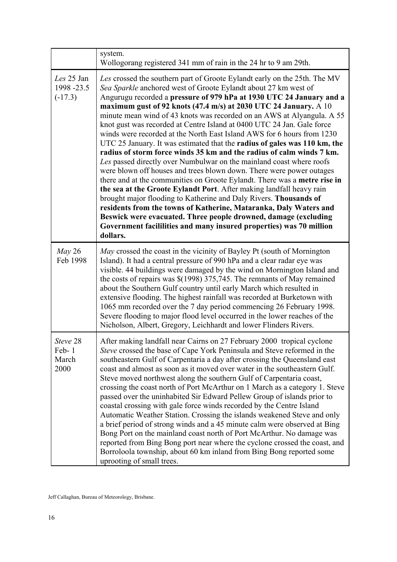|                                      | system.<br>Wollogorang registered 341 mm of rain in the 24 hr to 9 am 29th.                                                                                                                                                                                                                                                                                                                                                                                                                                                                                                                                                                                                                                                                                                                                                                                                                                                                                                                                                                                                                                                                                                                                                                                                      |
|--------------------------------------|----------------------------------------------------------------------------------------------------------------------------------------------------------------------------------------------------------------------------------------------------------------------------------------------------------------------------------------------------------------------------------------------------------------------------------------------------------------------------------------------------------------------------------------------------------------------------------------------------------------------------------------------------------------------------------------------------------------------------------------------------------------------------------------------------------------------------------------------------------------------------------------------------------------------------------------------------------------------------------------------------------------------------------------------------------------------------------------------------------------------------------------------------------------------------------------------------------------------------------------------------------------------------------|
| Les 25 Jan<br>1998-23.5<br>$(-17.3)$ | Les crossed the southern part of Groote Eylandt early on the 25th. The MV<br>Sea Sparkle anchored west of Groote Eylandt about 27 km west of<br>Angurugu recorded a pressure of 979 hPa at 1930 UTC 24 January and a<br>maximum gust of 92 knots (47.4 m/s) at 2030 UTC 24 January. A 10<br>minute mean wind of 43 knots was recorded on an AWS at Alyangula. A 55<br>knot gust was recorded at Centre Island at 0400 UTC 24 Jan. Gale force<br>winds were recorded at the North East Island AWS for 6 hours from 1230<br>UTC 25 January. It was estimated that the radius of gales was 110 km, the<br>radius of storm force winds 35 km and the radius of calm winds 7 km.<br>Les passed directly over Numbulwar on the mainland coast where roofs<br>were blown off houses and trees blown down. There were power outages<br>there and at the communities on Groote Eylandt. There was a metre rise in<br>the sea at the Groote Eylandt Port. After making landfall heavy rain<br>brought major flooding to Katherine and Daly Rivers. Thousands of<br>residents from the towns of Katherine, Mataranka, Daly Waters and<br>Beswick were evacuated. Three people drowned, damage (excluding<br>Government facililities and many insured properties) was 70 million<br>dollars. |
| $May\,26$<br>Feb 1998                | May crossed the coast in the vicinity of Bayley Pt (south of Mornington<br>Island). It had a central pressure of 990 hPa and a clear radar eye was<br>visible. 44 buildings were damaged by the wind on Mornington Island and<br>the costs of repairs was $\$(1998)$ 375,745. The remnants of May remained<br>about the Southern Gulf country until early March which resulted in<br>extensive flooding. The highest rainfall was recorded at Burketown with<br>1065 mm recorded over the 7 day period commencing 26 February 1998.<br>Severe flooding to major flood level occurred in the lower reaches of the<br>Nicholson, Albert, Gregory, Leichhardt and lower Flinders Rivers.                                                                                                                                                                                                                                                                                                                                                                                                                                                                                                                                                                                            |
| Steve 28<br>Feb-1<br>March<br>2000   | After making landfall near Cairns on 27 February 2000 tropical cyclone<br>Steve crossed the base of Cape York Peninsula and Steve reformed in the<br>southeastern Gulf of Carpentaria a day after crossing the Queensland east<br>coast and almost as soon as it moved over water in the southeastern Gulf.<br>Steve moved northwest along the southern Gulf of Carpentaria coast,<br>crossing the coast north of Port McArthur on 1 March as a category 1. Steve<br>passed over the uninhabited Sir Edward Pellew Group of islands prior to<br>coastal crossing with gale force winds recorded by the Centre Island<br>Automatic Weather Station. Crossing the islands weakened Steve and only<br>a brief period of strong winds and a 45 minute calm were observed at Bing<br>Bong Port on the mainland coast north of Port McArthur. No damage was<br>reported from Bing Bong port near where the cyclone crossed the coast, and<br>Borroloola township, about 60 km inland from Bing Bong reported some<br>uprooting of small trees.                                                                                                                                                                                                                                         |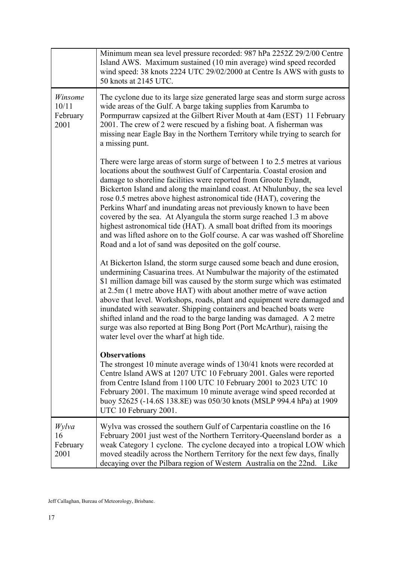|                                      | Minimum mean sea level pressure recorded: 987 hPa 2252Z 29/2/00 Centre<br>Island AWS. Maximum sustained (10 min average) wind speed recorded<br>wind speed: 38 knots 2224 UTC 29/02/2000 at Centre Is AWS with gusts to<br>50 knots at 2145 UTC.                                                                                                                                                                                                                                                                                                                                                                                                                                                                                                      |
|--------------------------------------|-------------------------------------------------------------------------------------------------------------------------------------------------------------------------------------------------------------------------------------------------------------------------------------------------------------------------------------------------------------------------------------------------------------------------------------------------------------------------------------------------------------------------------------------------------------------------------------------------------------------------------------------------------------------------------------------------------------------------------------------------------|
| Winsome<br>10/11<br>February<br>2001 | The cyclone due to its large size generated large seas and storm surge across<br>wide areas of the Gulf. A barge taking supplies from Karumba to<br>Pormpurraw capsized at the Gilbert River Mouth at 4am (EST) 11 February<br>2001. The crew of 2 were rescued by a fishing boat. A fisherman was<br>missing near Eagle Bay in the Northern Territory while trying to search for<br>a missing punt.                                                                                                                                                                                                                                                                                                                                                  |
|                                      | There were large areas of storm surge of between 1 to 2.5 metres at various<br>locations about the southwest Gulf of Carpentaria. Coastal erosion and<br>damage to shoreline facilities were reported from Groote Eylandt,<br>Bickerton Island and along the mainland coast. At Nhulunbuy, the sea level<br>rose 0.5 metres above highest astronomical tide (HAT), covering the<br>Perkins Wharf and inundating areas not previously known to have been<br>covered by the sea. At Alyangula the storm surge reached 1.3 m above<br>highest astronomical tide (HAT). A small boat drifted from its moorings<br>and was lifted ashore on to the Golf course. A car was washed off Shoreline<br>Road and a lot of sand was deposited on the golf course. |
|                                      | At Bickerton Island, the storm surge caused some beach and dune erosion,<br>undermining Casuarina trees. At Numbulwar the majority of the estimated<br>\$1 million damage bill was caused by the storm surge which was estimated<br>at 2.5m (1 metre above HAT) with about another metre of wave action<br>above that level. Workshops, roads, plant and equipment were damaged and<br>inundated with seawater. Shipping containers and beached boats were<br>shifted inland and the road to the barge landing was damaged. A 2 metre<br>surge was also reported at Bing Bong Port (Port McArthur), raising the<br>water level over the wharf at high tide.                                                                                           |
|                                      | <b>Observations</b><br>The strongest 10 minute average winds of 130/41 knots were recorded at<br>Centre Island AWS at 1207 UTC 10 February 2001. Gales were reported<br>from Centre Island from 1100 UTC 10 February 2001 to 2023 UTC 10<br>February 2001. The maximum 10 minute average wind speed recorded at<br>buoy 52625 (-14.6S 138.8E) was 050/30 knots (MSLP 994.4 hPa) at 1909<br>UTC 10 February 2001.                                                                                                                                                                                                                                                                                                                                      |
| Wylva<br>16<br>February<br>2001      | Wylva was crossed the southern Gulf of Carpentaria coastline on the 16<br>February 2001 just west of the Northern Territory-Queensland border as a<br>weak Category 1 cyclone. The cyclone decayed into a tropical LOW which<br>moved steadily across the Northern Territory for the next few days, finally<br>decaying over the Pilbara region of Western Australia on the 22nd. Like                                                                                                                                                                                                                                                                                                                                                                |

Jeff Callaghan, Bureau of Meteorology, Brisbane.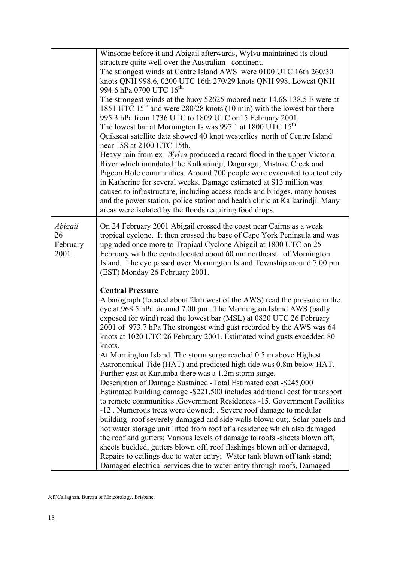|                                    | Winsome before it and Abigail afterwards, Wylva maintained its cloud<br>structure quite well over the Australian continent.<br>The strongest winds at Centre Island AWS were 0100 UTC 16th 260/30<br>knots QNH 998.6, 0200 UTC 16th 270/29 knots QNH 998. Lowest QNH<br>994.6 hPa 0700 UTC 16 <sup>th.</sup><br>The strongest winds at the buoy 52625 moored near 14.6S 138.5 E were at<br>1851 UTC $15th$ and were 280/28 knots (10 min) with the lowest bar there<br>995.3 hPa from 1736 UTC to 1809 UTC on15 February 2001.<br>The lowest bar at Mornington Is was 997.1 at 1800 UTC 15 <sup>th</sup><br>Quikscat satellite data showed 40 knot westerlies north of Centre Island<br>near 15S at 2100 UTC 15th.<br>Heavy rain from ex- Wylva produced a record flood in the upper Victoria<br>River which inundated the Kalkarindji, Daguragu, Mistake Creek and<br>Pigeon Hole communities. Around 700 people were evacuated to a tent city<br>in Katherine for several weeks. Damage estimated at \$13 million was<br>caused to infrastructure, including access roads and bridges, many houses<br>and the power station, police station and health clinic at Kalkarindji. Many<br>areas were isolated by the floods requiring food drops.                                                                                                                                            |
|------------------------------------|--------------------------------------------------------------------------------------------------------------------------------------------------------------------------------------------------------------------------------------------------------------------------------------------------------------------------------------------------------------------------------------------------------------------------------------------------------------------------------------------------------------------------------------------------------------------------------------------------------------------------------------------------------------------------------------------------------------------------------------------------------------------------------------------------------------------------------------------------------------------------------------------------------------------------------------------------------------------------------------------------------------------------------------------------------------------------------------------------------------------------------------------------------------------------------------------------------------------------------------------------------------------------------------------------------------------------------------------------------------------------------------------|
| Abigail<br>26<br>February<br>2001. | On 24 February 2001 Abigail crossed the coast near Cairns as a weak<br>tropical cyclone. It then crossed the base of Cape York Peninsula and was<br>upgraded once more to Tropical Cyclone Abigail at 1800 UTC on 25<br>February with the centre located about 60 nm northeast of Mornington<br>Island. The eye passed over Mornington Island Township around 7.00 pm<br>(EST) Monday 26 February 2001.                                                                                                                                                                                                                                                                                                                                                                                                                                                                                                                                                                                                                                                                                                                                                                                                                                                                                                                                                                                    |
|                                    | <b>Central Pressure</b><br>A barograph (located about 2km west of the AWS) read the pressure in the<br>eye at 968.5 hPa around 7.00 pm. The Mornington Island AWS (badly<br>exposed for wind) read the lowest bar (MSL) at 0820 UTC 26 February<br>2001 of 973.7 hPa The strongest wind gust recorded by the AWS was 64<br>knots at 1020 UTC 26 February 2001. Estimated wind gusts excedded 80<br>knots.<br>At Mornington Island. The storm surge reached 0.5 m above Highest<br>Astronomical Tide (HAT) and predicted high tide was 0.8m below HAT.<br>Further east at Karumba there was a 1.2m storm surge.<br>Description of Damage Sustained -Total Estimated cost -\$245,000<br>Estimated building damage -\$221,500 includes additional cost for transport<br>to remote communities .Government Residences -15. Government Facilities<br>-12. Numerous trees were downed; . Severe roof damage to modular<br>building -roof severely damaged and side walls blown out;. Solar panels and<br>hot water storage unit lifted from roof of a residence which also damaged<br>the roof and gutters; Various levels of damage to roofs -sheets blown off,<br>sheets buckled, gutters blown off, roof flashings blown off or damaged,<br>Repairs to ceilings due to water entry; Water tank blown off tank stand;<br>Damaged electrical services due to water entry through roofs, Damaged |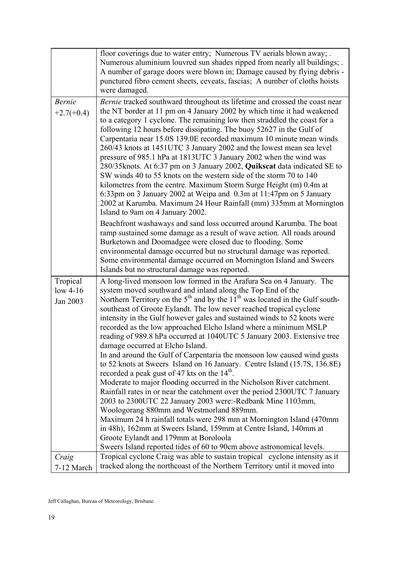|                                    | floor coverings due to water entry; Numerous TV aerials blown away; .<br>Numerous aluminium louvred sun shades ripped from nearly all buildings; .<br>A number of garage doors were blown in; Damage caused by flying debris -<br>punctured fibro cement sheets, ceveats, fascias; A number of cloths hoists<br>were damaged.                                                                                                                                                                                                                                                                                                                                                                                                                                                                                                                                                                                                                                                                                                                                                                                                                                                                                                                                                                                             |
|------------------------------------|---------------------------------------------------------------------------------------------------------------------------------------------------------------------------------------------------------------------------------------------------------------------------------------------------------------------------------------------------------------------------------------------------------------------------------------------------------------------------------------------------------------------------------------------------------------------------------------------------------------------------------------------------------------------------------------------------------------------------------------------------------------------------------------------------------------------------------------------------------------------------------------------------------------------------------------------------------------------------------------------------------------------------------------------------------------------------------------------------------------------------------------------------------------------------------------------------------------------------------------------------------------------------------------------------------------------------|
| <b>Bernie</b><br>$+2.7(+0.4)$      | Bernie tracked southward throughout its lifetime and crossed the coast near<br>the NT border at 11 pm on 4 January 2002 by which time it had weakened<br>to a category 1 cyclone. The remaining low then straddled the coast for a<br>following 12 hours before dissipating. The buoy 52627 in the Gulf of<br>Carpentaria near 15.0S 139.0E recorded maximum 10 minute mean winds<br>260/43 knots at 1451UTC 3 January 2002 and the lowest mean sea level<br>pressure of 985.1 hPa at 1813UTC 3 January 2002 when the wind was<br>280/35knots. At 6:37 pm on 3 January 2002, Quikscat data indicated SE to<br>SW winds 40 to 55 knots on the western side of the storm 70 to 140<br>kilometres from the centre. Maximum Storm Surge Height (m) 0.4m at<br>6:33pm on 3 January 2002 at Weipa and 0.3m at 11:47pm on 5 January<br>2002 at Karumba. Maximum 24 Hour Rainfall (mm) 335mm at Mornington<br>Island to 9am on 4 January 2002.                                                                                                                                                                                                                                                                                                                                                                                    |
|                                    | Beachfront washaways and sand loss occurred around Karumba. The boat<br>ramp sustained some damage as a result of wave action. All roads around<br>Burketown and Doomadgee were closed due to flooding. Some<br>environmental damage occurred but no structural damage was reported.<br>Some environmental damage occurred on Mornington Island and Sweers<br>Islands but no structural damage was reported.                                                                                                                                                                                                                                                                                                                                                                                                                                                                                                                                                                                                                                                                                                                                                                                                                                                                                                              |
| Tropical<br>$low$ 4-16<br>Jan 2003 | A long-lived monsoon low formed in the Arafura Sea on 4 January. The<br>system moved southward and inland along the Top End of the<br>Northern Territory on the $5th$ and by the 11 <sup>th</sup> was located in the Gulf south-<br>southeast of Groote Eylandt. The low never reached tropical cyclone<br>intensity in the Gulf however gales and sustained winds to 52 knots were<br>recorded as the low approached Elcho Island where a minimum MSLP<br>reading of 989.8 hPa occurred at 1040UTC 5 January 2003. Extensive tree<br>damage occurred at Elcho Island<br>In and around the Gulf of Carpentaria the monsoon low caused wind gusts<br>to 52 knots at Sweers Island on 16 January. Centre Island (15.7S, 136.8E)<br>recorded a peak gust of 47 kts on the 14 <sup>th</sup> .<br>Moderate to major flooding occurred in the Nicholson River catchment.<br>Rainfall rates in or near the catchment over the period 2300UTC 7 January<br>2003 to 2300UTC 22 January 2003 were:-Redbank Mine 1103mm,<br>Woologorang 880mm and Westmorland 889mm.<br>Maximum 24 h rainfall totals were 298 mm at Mornington Island (470mm)<br>in 48h), 162mm at Sweers Island, 159mm at Centre Island, 140mm at<br>Groote Eylandt and 179mm at Boroloola<br>Sweers Island reported tides of 60 to 90cm above astronomical levels. |
| Craig<br>7-12 March                | Tropical cyclone Craig was able to sustain tropical cyclone intensity as it<br>tracked along the northcoast of the Northern Territory until it moved into                                                                                                                                                                                                                                                                                                                                                                                                                                                                                                                                                                                                                                                                                                                                                                                                                                                                                                                                                                                                                                                                                                                                                                 |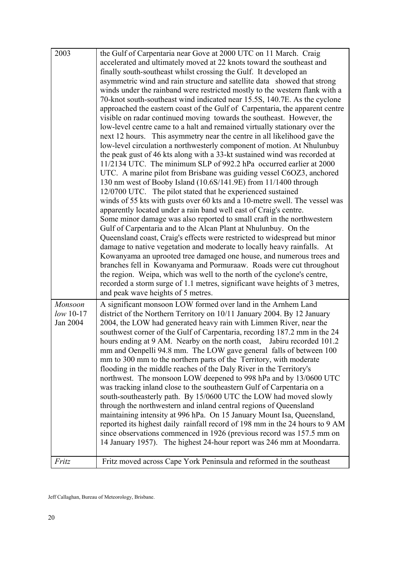| 2003                    | the Gulf of Carpentaria near Gove at 2000 UTC on 11 March. Craig<br>accelerated and ultimately moved at 22 knots toward the southeast and       |
|-------------------------|-------------------------------------------------------------------------------------------------------------------------------------------------|
|                         | finally south-southeast whilst crossing the Gulf. It developed an<br>asymmetric wind and rain structure and satellite data showed that strong   |
|                         | winds under the rainband were restricted mostly to the western flank with a                                                                     |
|                         | 70-knot south-southeast wind indicated near 15.5S, 140.7E. As the cyclone                                                                       |
|                         | approached the eastern coast of the Gulf of Carpentaria, the apparent centre                                                                    |
|                         | visible on radar continued moving towards the southeast. However, the                                                                           |
|                         | low-level centre came to a halt and remained virtually stationary over the                                                                      |
|                         | next 12 hours. This asymmetry near the centre in all likelihood gave the                                                                        |
|                         | low-level circulation a northwesterly component of motion. At Nhulunbuy                                                                         |
|                         | the peak gust of 46 kts along with a 33-kt sustained wind was recorded at<br>11/2134 UTC. The minimum SLP of 992.2 hPa occurred earlier at 2000 |
|                         | UTC. A marine pilot from Brisbane was guiding vessel C6OZ3, anchored                                                                            |
|                         | 130 nm west of Booby Island (10.6S/141.9E) from 11/1400 through                                                                                 |
|                         | 12/0700 UTC. The pilot stated that he experienced sustained                                                                                     |
|                         | winds of 55 kts with gusts over 60 kts and a 10-metre swell. The vessel was                                                                     |
|                         | apparently located under a rain band well east of Craig's centre.                                                                               |
|                         | Some minor damage was also reported to small craft in the northwestern                                                                          |
|                         | Gulf of Carpentaria and to the Alcan Plant at Nhulunbuy. On the<br>Queensland coast, Craig's effects were restricted to widespread but minor    |
|                         | damage to native vegetation and moderate to locally heavy rainfalls. At                                                                         |
|                         | Kowanyama an uprooted tree damaged one house, and numerous trees and                                                                            |
|                         | branches fell in Kowanyama and Pormuraaw. Roads were cut throughout                                                                             |
|                         | the region. Weipa, which was well to the north of the cyclone's centre,                                                                         |
|                         | recorded a storm surge of 1.1 metres, significant wave heights of 3 metres,                                                                     |
|                         | and peak wave heights of 5 metres.                                                                                                              |
| Monsoon                 | A significant monsoon LOW formed over land in the Arnhem Land                                                                                   |
| $low 10-17$<br>Jan 2004 | district of the Northern Territory on 10/11 January 2004. By 12 January<br>2004, the LOW had generated heavy rain with Limmen River, near the   |
|                         | southwest corner of the Gulf of Carpentaria, recording 187.2 mm in the 24                                                                       |
|                         | hours ending at 9 AM. Nearby on the north coast, Jabiru recorded 101.2                                                                          |
|                         | mm and Oenpelli 94.8 mm. The LOW gave general falls of between 100                                                                              |
|                         | mm to 300 mm to the northern parts of the Territory, with moderate                                                                              |
|                         | flooding in the middle reaches of the Daly River in the Territory's                                                                             |
|                         | northwest. The monsoon LOW deepened to 998 hPa and by 13/0600 UTC                                                                               |
|                         | was tracking inland close to the southeastern Gulf of Carpentaria on a<br>south-southeasterly path. By 15/0600 UTC the LOW had moved slowly     |
|                         | through the northwestern and inland central regions of Queensland                                                                               |
|                         | maintaining intensity at 996 hPa. On 15 January Mount Isa, Queensland,                                                                          |
|                         | reported its highest daily rainfall record of 198 mm in the 24 hours to 9 AM                                                                    |
|                         | since observations commenced in 1926 (previous record was 157.5 mm on                                                                           |
|                         | 14 January 1957). The highest 24-hour report was 246 mm at Moondarra.                                                                           |
| Fritz                   | Fritz moved across Cape York Peninsula and reformed in the southeast                                                                            |
|                         |                                                                                                                                                 |